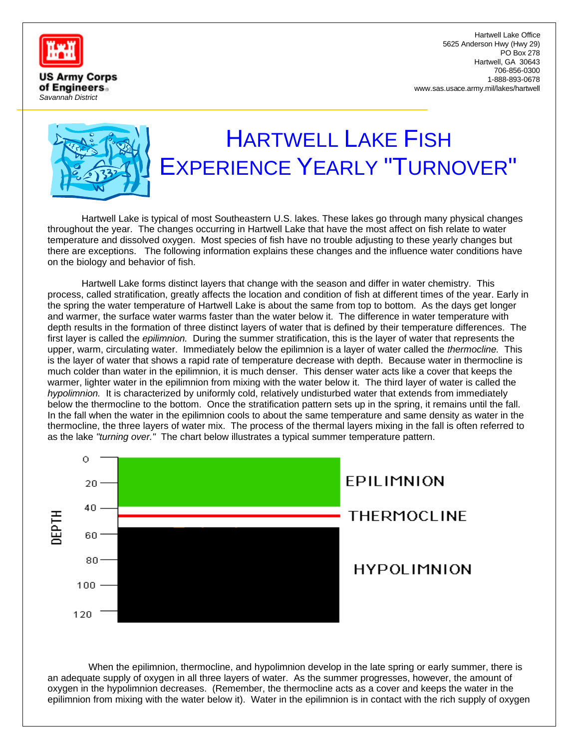

**US Army Corps** of Engineers. *Savannah District*

Hartwell Lake Office 5625 Anderson Hwy (Hwy 29) PO Box 278 Hartwell, GA 30643 706-856-0300 1-888-893-0678 www.sas.usace.army.mil/lakes/hartwell



## HARTWELL LAKE FISH EXPERIENCE YEARLY "TURNOVER"

Hartwell Lake is typical of most Southeastern U.S. lakes. These lakes go through many physical changes throughout the year. The changes occurring in Hartwell Lake that have the most affect on fish relate to water temperature and dissolved oxygen. Most species of fish have no trouble adjusting to these yearly changes but there are exceptions. The following information explains these changes and the influence water conditions have on the biology and behavior of fish.

Hartwell Lake forms distinct layers that change with the season and differ in water chemistry. This process, called stratification, greatly affects the location and condition of fish at different times of the year. Early in the spring the water temperature of Hartwell Lake is about the same from top to bottom. As the days get longer and warmer, the surface water warms faster than the water below it. The difference in water temperature with depth results in the formation of three distinct layers of water that is defined by their temperature differences. The first layer is called the *epilimnion.* During the summer stratification, this is the layer of water that represents the upper, warm, circulating water. Immediately below the epilimnion is a layer of water called the *thermocline.* This is the layer of water that shows a rapid rate of temperature decrease with depth. Because water in thermocline is much colder than water in the epilimnion, it is much denser. This denser water acts like a cover that keeps the warmer, lighter water in the epilimnion from mixing with the water below it. The third layer of water is called the *hypolimnion.* It is characterized by uniformly cold, relatively undisturbed water that extends from immediately below the thermocline to the bottom. Once the stratification pattern sets up in the spring, it remains until the fall. In the fall when the water in the epilimnion cools to about the same temperature and same density as water in the thermocline, the three layers of water mix. The process of the thermal layers mixing in the fall is often referred to as the lake *"turning over."* The chart below illustrates a typical summer temperature pattern.



When the epilimnion, thermocline, and hypolimnion develop in the late spring or early summer, there is an adequate supply of oxygen in all three layers of water. As the summer progresses, however, the amount of oxygen in the hypolimnion decreases. (Remember, the thermocline acts as a cover and keeps the water in the epilimnion from mixing with the water below it). Water in the epilimnion is in contact with the rich supply of oxygen